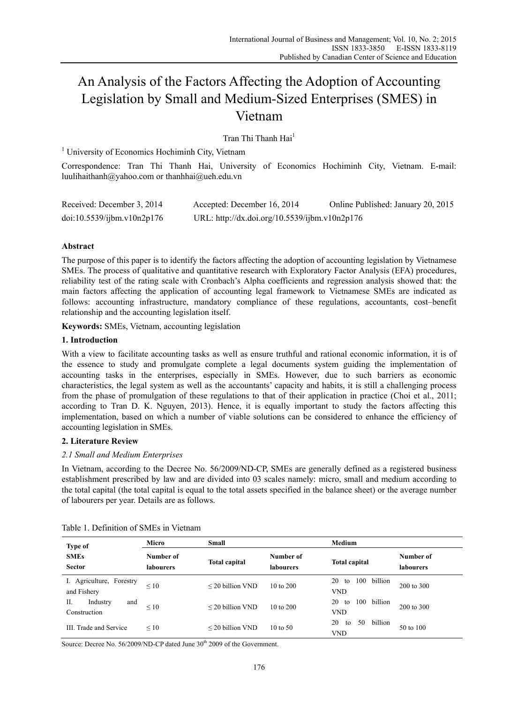# An Analysis of the Factors Affecting the Adoption of Accounting Legislation by Small and Medium-Sized Enterprises (SMES) in Vietnam

Tran Thi Thanh Hai<sup>1</sup>

<sup>1</sup> University of Economics Hochiminh City, Vietnam

Correspondence: Tran Thi Thanh Hai, University of Economics Hochiminh City, Vietnam. E-mail: luulihaithanh@yahoo.com or thanhhai@ueh.edu.vn

| Received: December 3, 2014 | Accepted: December 16, 2014                   | Online Published: January 20, 2015 |
|----------------------------|-----------------------------------------------|------------------------------------|
| doi:10.5539/ijbm.v10n2p176 | URL: http://dx.doi.org/10.5539/ijbm.v10n2p176 |                                    |

# **Abstract**

The purpose of this paper is to identify the factors affecting the adoption of accounting legislation by Vietnamese SMEs. The process of qualitative and quantitative research with Exploratory Factor Analysis (EFA) procedures, reliability test of the rating scale with Cronbach's Alpha coefficients and regression analysis showed that: the main factors affecting the application of accounting legal framework to Vietnamese SMEs are indicated as follows: accounting infrastructure, mandatory compliance of these regulations, accountants, cost–benefit relationship and the accounting legislation itself.

**Keywords:** SMEs, Vietnam, accounting legislation

# **1. Introduction**

With a view to facilitate accounting tasks as well as ensure truthful and rational economic information, it is of the essence to study and promulgate complete a legal documents system guiding the implementation of accounting tasks in the enterprises, especially in SMEs. However, due to such barriers as economic characteristics, the legal system as well as the accountants' capacity and habits, it is still a challenging process from the phase of promulgation of these regulations to that of their application in practice (Choi et al., 2011; according to Tran D. K. Nguyen, 2013). Hence, it is equally important to study the factors affecting this implementation, based on which a number of viable solutions can be considered to enhance the efficiency of accounting legislation in SMEs.

## **2. Literature Review**

## *2.1 Small and Medium Enterprises*

In Vietnam, according to the Decree No. 56/2009/ND-CP, SMEs are generally defined as a registered business establishment prescribed by law and are divided into 03 scales namely: micro, small and medium according to the total capital (the total capital is equal to the total assets specified in the balance sheet) or the average number of labourers per year. Details are as follows.

| <b>Type of</b>                          | Micro                         | Small                 |                               | Medium                                   |                               |
|-----------------------------------------|-------------------------------|-----------------------|-------------------------------|------------------------------------------|-------------------------------|
| <b>SMEs</b><br><b>Sector</b>            | Number of<br><b>labourers</b> | <b>Total capital</b>  | Number of<br><b>labourers</b> | <b>Total capital</b>                     | Number of<br><b>labourers</b> |
| I. Agriculture, Forestry<br>and Fishery | $\leq 10$                     | $\leq$ 20 billion VND | 10 to $200$                   | 20<br>100<br>billion<br>to<br><b>VND</b> | 200 to 300                    |
| П.<br>Industry<br>and<br>Construction   | $\leq 10$                     | $\leq$ 20 billion VND | 10 to $200$                   | 100<br>billion<br>20<br>to<br><b>VND</b> | 200 to 300                    |
| <b>III.</b> Trade and Service           | $\leq 10$                     | $\leq$ 20 billion VND | 10 to $50$                    | billion<br>20<br>50<br>to<br><b>VND</b>  | 50 to 100                     |

Table 1. Definition of SMEs in Vietnam

Source: Decree No. 56/2009/ND-CP dated June 30<sup>th</sup> 2009 of the Government.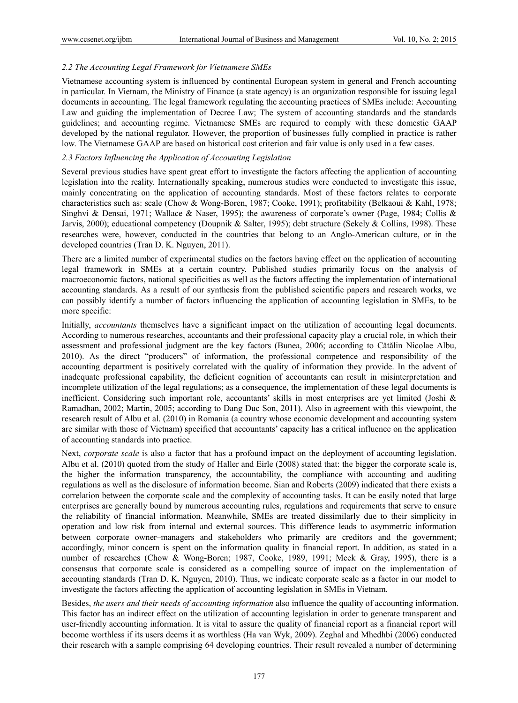#### *2.2 The Accounting Legal Framework for Vietnamese SMEs*

Vietnamese accounting system is influenced by continental European system in general and French accounting in particular. In Vietnam, the Ministry of Finance (a state agency) is an organization responsible for issuing legal documents in accounting. The legal framework regulating the accounting practices of SMEs include: Accounting Law and guiding the implementation of Decree Law; The system of accounting standards and the standards guidelines; and accounting regime. Vietnamese SMEs are required to comply with these domestic GAAP developed by the national regulator. However, the proportion of businesses fully complied in practice is rather low. The Vietnamese GAAP are based on historical cost criterion and fair value is only used in a few cases.

#### *2.3 Factors Influencing the Application of Accounting Legislation*

Several previous studies have spent great effort to investigate the factors affecting the application of accounting legislation into the reality. Internationally speaking, numerous studies were conducted to investigate this issue, mainly concentrating on the application of accounting standards. Most of these factors relates to corporate characteristics such as: scale (Chow & Wong-Boren, 1987; Cooke, 1991); profitability (Belkaoui & Kahl, 1978; Singhvi & Densai, 1971; Wallace & Naser, 1995); the awareness of corporate's owner (Page, 1984; Collis & Jarvis, 2000); educational competency (Doupnik & Salter, 1995); debt structure (Sekely & Collins, 1998). These researches were, however, conducted in the countries that belong to an Anglo-American culture, or in the developed countries (Tran D. K. Nguyen, 2011).

There are a limited number of experimental studies on the factors having effect on the application of accounting legal framework in SMEs at a certain country. Published studies primarily focus on the analysis of macroeconomic factors, national specificities as well as the factors affecting the implementation of international accounting standards. As a result of our synthesis from the published scientific papers and research works, we can possibly identify a number of factors influencing the application of accounting legislation in SMEs, to be more specific:

Initially, *accountants* themselves have a significant impact on the utilization of accounting legal documents. According to numerous researches, accountants and their professional capacity play a crucial role, in which their assessment and professional judgment are the key factors (Bunea, 2006; according to Cătălin Nicolae Albu, 2010). As the direct "producers" of information, the professional competence and responsibility of the accounting department is positively correlated with the quality of information they provide. In the advent of inadequate professional capability, the deficient cognition of accountants can result in misinterpretation and incomplete utilization of the legal regulations; as a consequence, the implementation of these legal documents is inefficient. Considering such important role, accountants' skills in most enterprises are yet limited (Joshi & Ramadhan, 2002; Martin, 2005; according to Dang Duc Son, 2011). Also in agreement with this viewpoint, the research result of Albu et al. (2010) in Romania (a country whose economic development and accounting system are similar with those of Vietnam) specified that accountants' capacity has a critical influence on the application of accounting standards into practice.

Next, *corporate scale* is also a factor that has a profound impact on the deployment of accounting legislation. Albu et al. (2010) quoted from the study of Haller and Eirle (2008) stated that: the bigger the corporate scale is, the higher the information transparency, the accountability, the compliance with accounting and auditing regulations as well as the disclosure of information become. Sian and Roberts (2009) indicated that there exists a correlation between the corporate scale and the complexity of accounting tasks. It can be easily noted that large enterprises are generally bound by numerous accounting rules, regulations and requirements that serve to ensure the reliability of financial information. Meanwhile, SMEs are treated dissimilarly due to their simplicity in operation and low risk from internal and external sources. This difference leads to asymmetric information between corporate owner–managers and stakeholders who primarily are creditors and the government; accordingly, minor concern is spent on the information quality in financial report. In addition, as stated in a number of researches (Chow & Wong-Boren; 1987, Cooke, 1989, 1991; Meek & Gray, 1995), there is a consensus that corporate scale is considered as a compelling source of impact on the implementation of accounting standards (Tran D. K. Nguyen, 2010). Thus, we indicate corporate scale as a factor in our model to investigate the factors affecting the application of accounting legislation in SMEs in Vietnam.

Besides, *the users and their needs of accounting information* also influence the quality of accounting information. This factor has an indirect effect on the utilization of accounting legislation in order to generate transparent and user-friendly accounting information. It is vital to assure the quality of financial report as a financial report will become worthless if its users deems it as worthless (Ha van Wyk, 2009). Zeghal and Mhedhbi (2006) conducted their research with a sample comprising 64 developing countries. Their result revealed a number of determining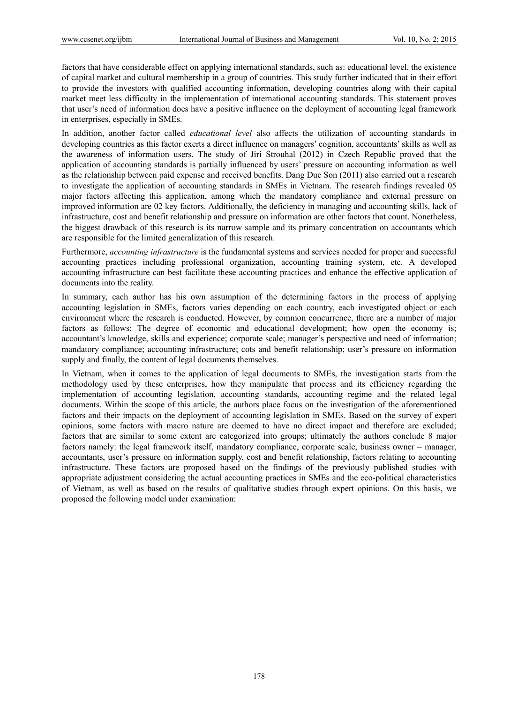factors that have considerable effect on applying international standards, such as: educational level, the existence of capital market and cultural membership in a group of countries. This study further indicated that in their effort to provide the investors with qualified accounting information, developing countries along with their capital market meet less difficulty in the implementation of international accounting standards. This statement proves that user's need of information does have a positive influence on the deployment of accounting legal framework in enterprises, especially in SMEs.

In addition, another factor called *educational level* also affects the utilization of accounting standards in developing countries as this factor exerts a direct influence on managers' cognition, accountants' skills as well as the awareness of information users. The study of Jiri Strouhal (2012) in Czech Republic proved that the application of accounting standards is partially influenced by users' pressure on accounting information as well as the relationship between paid expense and received benefits. Dang Duc Son (2011) also carried out a research to investigate the application of accounting standards in SMEs in Vietnam. The research findings revealed 05 major factors affecting this application, among which the mandatory compliance and external pressure on improved information are 02 key factors. Additionally, the deficiency in managing and accounting skills, lack of infrastructure, cost and benefit relationship and pressure on information are other factors that count. Nonetheless, the biggest drawback of this research is its narrow sample and its primary concentration on accountants which are responsible for the limited generalization of this research.

Furthermore, *accounting infrastructure* is the fundamental systems and services needed for proper and successful accounting practices including professional organization, accounting training system, etc. A developed accounting infrastructure can best facilitate these accounting practices and enhance the effective application of documents into the reality.

In summary, each author has his own assumption of the determining factors in the process of applying accounting legislation in SMEs, factors varies depending on each country, each investigated object or each environment where the research is conducted. However, by common concurrence, there are a number of major factors as follows: The degree of economic and educational development; how open the economy is; accountant's knowledge, skills and experience; corporate scale; manager's perspective and need of information; mandatory compliance; accounting infrastructure; cots and benefit relationship; user's pressure on information supply and finally, the content of legal documents themselves.

In Vietnam, when it comes to the application of legal documents to SMEs, the investigation starts from the methodology used by these enterprises, how they manipulate that process and its efficiency regarding the implementation of accounting legislation, accounting standards, accounting regime and the related legal documents. Within the scope of this article, the authors place focus on the investigation of the aforementioned factors and their impacts on the deployment of accounting legislation in SMEs. Based on the survey of expert opinions, some factors with macro nature are deemed to have no direct impact and therefore are excluded; factors that are similar to some extent are categorized into groups; ultimately the authors conclude 8 major factors namely: the legal framework itself, mandatory compliance, corporate scale, business owner – manager, accountants, user's pressure on information supply, cost and benefit relationship, factors relating to accounting infrastructure. These factors are proposed based on the findings of the previously published studies with appropriate adjustment considering the actual accounting practices in SMEs and the eco-political characteristics of Vietnam, as well as based on the results of qualitative studies through expert opinions. On this basis, we proposed the following model under examination: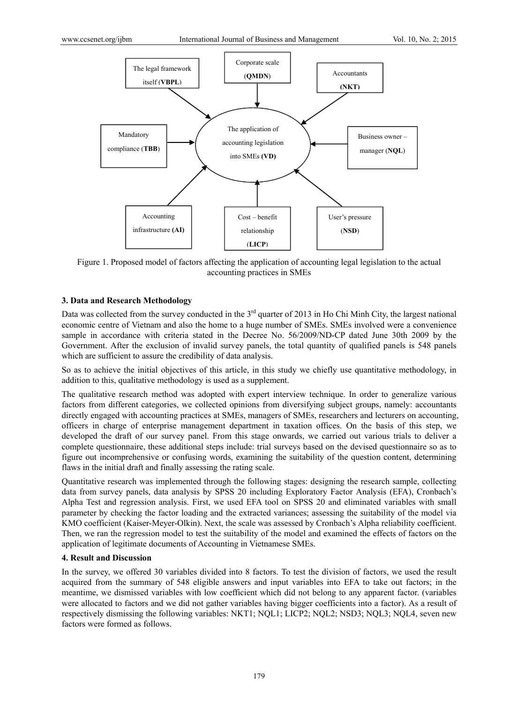

Figure 1. Proposed model of factors affecting the application of accounting legal legislation to the actual accounting practices in SMEs

#### **3. Data and Research Methodology**

Data was collected from the survey conducted in the 3<sup>rd</sup> quarter of 2013 in Ho Chi Minh City, the largest national economic centre of Vietnam and also the home to a huge number of SMEs. SMEs involved were a convenience sample in accordance with criteria stated in the Decree No. 56/2009/ND-CP dated June 30th 2009 by the Government. After the exclusion of invalid survey panels, the total quantity of qualified panels is 548 panels which are sufficient to assure the credibility of data analysis.

So as to achieve the initial objectives of this article, in this study we chiefly use quantitative methodology, in addition to this, qualitative methodology is used as a supplement.

The qualitative research method was adopted with expert interview technique. In order to generalize various factors from different categories, we collected opinions from diversifying subject groups, namely: accountants directly engaged with accounting practices at SMEs, managers of SMEs, researchers and lecturers on accounting, officers in charge of enterprise management department in taxation offices. On the basis of this step, we developed the draft of our survey panel. From this stage onwards, we carried out various trials to deliver a complete questionnaire, these additional steps include: trial surveys based on the devised questionnaire so as to figure out incomprehensive or confusing words, examining the suitability of the question content, determining flaws in the initial draft and finally assessing the rating scale.

Quantitative research was implemented through the following stages: designing the research sample, collecting data from survey panels, data analysis by SPSS 20 including Exploratory Factor Analysis (EFA), Cronbach's Alpha Test and regression analysis. First, we used EFA tool on SPSS 20 and eliminated variables with small parameter by checking the factor loading and the extracted variances; assessing the suitability of the model via KMO coefficient (Kaiser-Meyer-Olkin). Next, the scale was assessed by Cronbach's Alpha reliability coefficient. Then, we ran the regression model to test the suitability of the model and examined the effects of factors on the application of legitimate documents of Accounting in Vietnamese SMEs.

# **4. Result and Discussion**

In the survey, we offered 30 variables divided into 8 factors. To test the division of factors, we used the result acquired from the summary of 548 eligible answers and input variables into EFA to take out factors; in the meantime, we dismissed variables with low coefficient which did not belong to any apparent factor. (variables were allocated to factors and we did not gather variables having bigger coefficients into a factor). As a result of respectively dismissing the following variables: NKT1; NQL1; LICP2; NQL2; NSD3; NQL3; NQL4, seven new factors were formed as follows.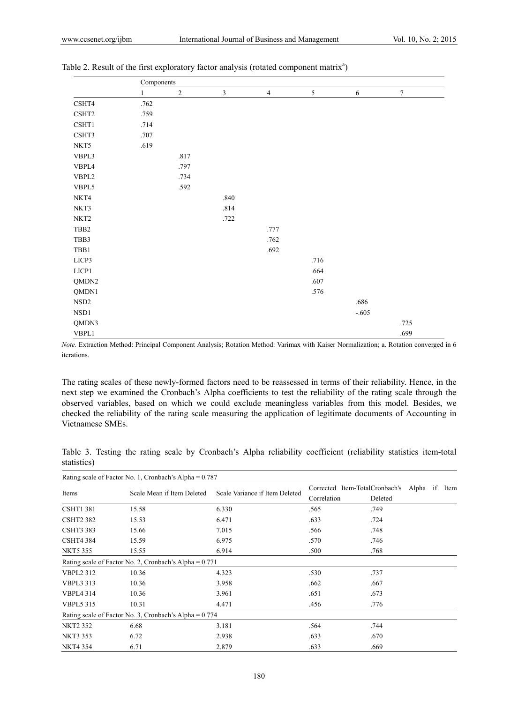|                                                                          | Components |            |                |                |            |            |                  |
|--------------------------------------------------------------------------|------------|------------|----------------|----------------|------------|------------|------------------|
|                                                                          | 1          | $\sqrt{2}$ | $\mathfrak{Z}$ | $\overline{4}$ | $\sqrt{5}$ | $\sqrt{6}$ | $\boldsymbol{7}$ |
| CSHT4                                                                    | .762       |            |                |                |            |            |                  |
| CSHT2                                                                    | .759       |            |                |                |            |            |                  |
| CSHT1                                                                    | .714       |            |                |                |            |            |                  |
| CSHT3                                                                    | .707       |            |                |                |            |            |                  |
| NKT5                                                                     | .619       |            |                |                |            |            |                  |
| VBPL3                                                                    |            | .817       |                |                |            |            |                  |
| VBPL4                                                                    |            | .797       |                |                |            |            |                  |
| VBPL2                                                                    |            | .734       |                |                |            |            |                  |
| VBPL5                                                                    |            | .592       |                |                |            |            |                  |
| $\rm NKT4$                                                               |            |            | .840           |                |            |            |                  |
| NKT3                                                                     |            |            | .814           |                |            |            |                  |
| $\rm NKT2$                                                               |            |            | .722           |                |            |            |                  |
| $_{\rm TBB2}$                                                            |            |            |                | .777           |            |            |                  |
| TBB3                                                                     |            |            |                | .762           |            |            |                  |
| $\ensuremath{\mathsf{T}}\ensuremath{\mathsf{B}}\ensuremath{\mathsf{B}}1$ |            |            |                | .692           |            |            |                  |
| LICP3                                                                    |            |            |                |                | .716       |            |                  |
| $LICP1$                                                                  |            |            |                |                | .664       |            |                  |
| QMDN2                                                                    |            |            |                |                | $.607$     |            |                  |
| QMDN1                                                                    |            |            |                |                | .576       |            |                  |
| ${\rm NSD2}$                                                             |            |            |                |                |            | .686       |                  |
| $\ensuremath{\mathsf{NSD1}}$                                             |            |            |                |                |            | $-.605$    |                  |
| QMDN3                                                                    |            |            |                |                |            |            | .725             |
| VBPL1                                                                    |            |            |                |                |            |            | .699             |

Table 2. Result of the first exploratory factor analysis (rotated component matrix<sup>a</sup>)

*Note.* Extraction Method: Principal Component Analysis; Rotation Method: Varimax with Kaiser Normalization; a. Rotation converged in 6 iterations.

The rating scales of these newly-formed factors need to be reassessed in terms of their reliability. Hence, in the next step we examined the Cronbach's Alpha coefficients to test the reliability of the rating scale through the observed variables, based on which we could exclude meaningless variables from this model. Besides, we checked the reliability of the rating scale measuring the application of legitimate documents of Accounting in Vietnamese SMEs.

Table 3. Testing the rating scale by Cronbach's Alpha reliability coefficient (reliability statistics item-total statistics)

|                  | Rating scale of Factor No. 1, Cronbach's Alpha = $0.787$ |                                |             |                                |          |      |
|------------------|----------------------------------------------------------|--------------------------------|-------------|--------------------------------|----------|------|
|                  | Scale Mean if Item Deleted                               | Scale Variance if Item Deleted |             | Corrected Item-TotalCronbach's | Alpha if | Item |
| Items            |                                                          |                                | Correlation | Deleted                        |          |      |
| <b>CSHT1381</b>  | 15.58                                                    | 6.330                          | .565        | .749                           |          |      |
| <b>CSHT2 382</b> | 15.53                                                    | 6.471                          | .633        | .724                           |          |      |
| <b>CSHT3 383</b> | 15.66                                                    | 7.015                          | .566        | .748                           |          |      |
| <b>CSHT4 384</b> | 15.59                                                    | 6.975                          | .570        | .746                           |          |      |
| <b>NKT5 355</b>  | 15.55                                                    | 6.914                          | .500        | .768                           |          |      |
|                  | Rating scale of Factor No. 2, Cronbach's Alpha = $0.771$ |                                |             |                                |          |      |
| <b>VBPL2 312</b> | 10.36                                                    | 4.323                          | .530        | .737                           |          |      |
| <b>VBPL3 313</b> | 10.36                                                    | 3.958                          | .662        | .667                           |          |      |
| <b>VBPL4 314</b> | 10.36                                                    | 3.961                          | .651        | .673                           |          |      |
| <b>VBPL5 315</b> | 10.31                                                    | 4.471                          | .456        | .776                           |          |      |
|                  | Rating scale of Factor No. 3, Cronbach's Alpha $= 0.774$ |                                |             |                                |          |      |
| <b>NKT2 352</b>  | 6.68                                                     | 3.181                          | .564        | .744                           |          |      |
| <b>NKT3 353</b>  | 6.72                                                     | 2.938                          | .633        | .670                           |          |      |
| <b>NKT4354</b>   | 6.71                                                     | 2.879                          | .633        | .669                           |          |      |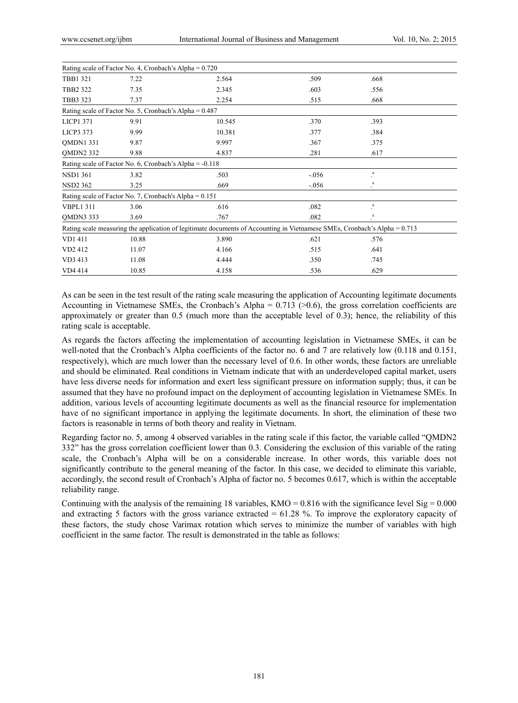|                  | Rating scale of Factor No. 4, Cronbach's Alpha $= 0.720$  |                                                                                                                           |          |          |  |
|------------------|-----------------------------------------------------------|---------------------------------------------------------------------------------------------------------------------------|----------|----------|--|
| <b>TBB1 321</b>  | 7.22                                                      | 2.564                                                                                                                     | .509     | .668     |  |
| TBB2 322         | 7.35                                                      | 2.345                                                                                                                     | .603     | .556     |  |
| TBB3 323         | 7.37                                                      | 2.254                                                                                                                     | .515     | .668     |  |
|                  | Rating scale of Factor No. 5, Cronbach's Alpha $= 0.487$  |                                                                                                                           |          |          |  |
| <b>LICP1 371</b> | 9.91                                                      | 10.545                                                                                                                    | .370     | .393     |  |
| <b>LICP3 373</b> | 9.99                                                      | 10.381                                                                                                                    | .377     | .384     |  |
| <b>OMDN1331</b>  | 9.87                                                      | 9.997                                                                                                                     | .367     | .375     |  |
| QMDN2 332        | 9.88                                                      | 4.837                                                                                                                     | .281     | .617     |  |
|                  | Rating scale of Factor No. 6, Cronbach's Alpha = $-0.118$ |                                                                                                                           |          |          |  |
| <b>NSD1361</b>   | 3.82                                                      | .503                                                                                                                      | $-0.056$ | $\rm{a}$ |  |
| <b>NSD2 362</b>  | 3.25                                                      | .669                                                                                                                      | $-.056$  | a        |  |
|                  | Rating scale of Factor No. 7, Cronbach's Alpha $= 0.151$  |                                                                                                                           |          |          |  |
| <b>VBPL1 311</b> | 3.06                                                      | .616                                                                                                                      | .082     | a        |  |
| QMDN3 333        | 3.69                                                      | .767                                                                                                                      | .082     | a        |  |
|                  |                                                           | Rating scale measuring the application of legitimate documents of Accounting in Vietnamese SMEs, Cronbach's Alpha = 0.713 |          |          |  |
| <b>VD1411</b>    | 10.88                                                     | 3.890                                                                                                                     | .621     | .576     |  |
| VD2 412          | 11.07                                                     | 4.166                                                                                                                     | .515     | .641     |  |
| VD3 413          | 11.08                                                     | 4.444                                                                                                                     | .350     | .745     |  |
| VD4414           | 10.85                                                     | 4.158                                                                                                                     | .536     | .629     |  |

As can be seen in the test result of the rating scale measuring the application of Accounting legitimate documents Accounting in Vietnamese SMEs, the Cronbach's Alpha =  $0.713$  ( $> 0.6$ ), the gross correlation coefficients are approximately or greater than 0.5 (much more than the acceptable level of 0.3); hence, the reliability of this rating scale is acceptable.

As regards the factors affecting the implementation of accounting legislation in Vietnamese SMEs, it can be well-noted that the Cronbach's Alpha coefficients of the factor no. 6 and 7 are relatively low (0.118 and 0.151, respectively), which are much lower than the necessary level of 0.6. In other words, these factors are unreliable and should be eliminated. Real conditions in Vietnam indicate that with an underdeveloped capital market, users have less diverse needs for information and exert less significant pressure on information supply; thus, it can be assumed that they have no profound impact on the deployment of accounting legislation in Vietnamese SMEs. In addition, various levels of accounting legitimate documents as well as the financial resource for implementation have of no significant importance in applying the legitimate documents. In short, the elimination of these two factors is reasonable in terms of both theory and reality in Vietnam.

Regarding factor no. 5, among 4 observed variables in the rating scale if this factor, the variable called "QMDN2 332" has the gross correlation coefficient lower than 0.3. Considering the exclusion of this variable of the rating scale, the Cronbach's Alpha will be on a considerable increase. In other words, this variable does not significantly contribute to the general meaning of the factor. In this case, we decided to eliminate this variable, accordingly, the second result of Cronbach's Alpha of factor no. 5 becomes 0.617, which is within the acceptable reliability range.

Continuing with the analysis of the remaining 18 variables,  $KMO = 0.816$  with the significance level  $Sig = 0.000$ and extracting 5 factors with the gross variance extracted  $= 61.28$  %. To improve the exploratory capacity of these factors, the study chose Varimax rotation which serves to minimize the number of variables with high coefficient in the same factor. The result is demonstrated in the table as follows: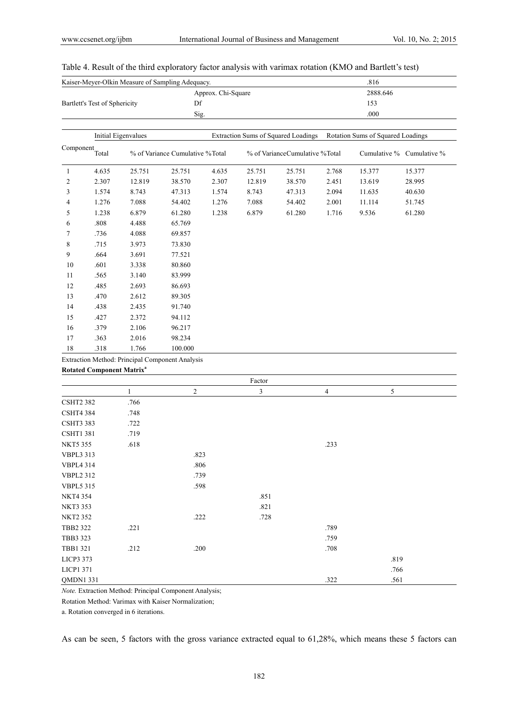|    |                                                                     |                     | Kaiser-Meyer-Olkin Measure of Sampling Adequacy. |                    |        |                                     |       | .816                              |                           |
|----|---------------------------------------------------------------------|---------------------|--------------------------------------------------|--------------------|--------|-------------------------------------|-------|-----------------------------------|---------------------------|
|    |                                                                     |                     |                                                  | Approx. Chi-Square |        |                                     |       | 2888.646                          |                           |
|    | Bartlett's Test of Sphericity                                       |                     | Df                                               |                    |        |                                     |       | 153                               |                           |
|    |                                                                     |                     | Sig.                                             |                    |        |                                     |       | .000                              |                           |
|    |                                                                     | Initial Eigenvalues |                                                  |                    |        | Extraction Sums of Squared Loadings |       | Rotation Sums of Squared Loadings |                           |
|    |                                                                     |                     |                                                  |                    |        |                                     |       |                                   |                           |
|    | $\begin{array}{c} \textbf{Component} \\ \textbf{Total} \end{array}$ |                     | % of Variance Cumulative % Total                 |                    |        | % of VarianceCumulative %Total      |       |                                   | Cumulative % Cumulative % |
| 1  | 4.635                                                               | 25.751              | 25.751                                           | 4.635              | 25.751 | 25.751                              | 2.768 | 15.377                            | 15.377                    |
| 2  | 2.307                                                               | 12.819              | 38.570                                           | 2.307              | 12.819 | 38.570                              | 2.451 | 13.619                            | 28.995                    |
| 3  | 1.574                                                               | 8.743               | 47.313                                           | 1.574              | 8.743  | 47.313                              | 2.094 | 11.635                            | 40.630                    |
| 4  | 1.276                                                               | 7.088               | 54.402                                           | 1.276              | 7.088  | 54.402                              | 2.001 | 11.114                            | 51.745                    |
| 5  | 1.238                                                               | 6.879               | 61.280                                           | 1.238              | 6.879  | 61.280                              | 1.716 | 9.536                             | 61.280                    |
| 6  | .808                                                                | 4.488               | 65.769                                           |                    |        |                                     |       |                                   |                           |
| 7  | .736                                                                | 4.088               | 69.857                                           |                    |        |                                     |       |                                   |                           |
| 8  | .715                                                                | 3.973               | 73.830                                           |                    |        |                                     |       |                                   |                           |
| 9  | .664                                                                | 3.691               | 77.521                                           |                    |        |                                     |       |                                   |                           |
| 10 | .601                                                                | 3.338               | 80.860                                           |                    |        |                                     |       |                                   |                           |
| 11 | .565                                                                | 3.140               | 83.999                                           |                    |        |                                     |       |                                   |                           |
| 12 | .485                                                                | 2.693               | 86.693                                           |                    |        |                                     |       |                                   |                           |
| 13 | .470                                                                | 2.612               | 89.305                                           |                    |        |                                     |       |                                   |                           |
| 14 | .438                                                                | 2.435               | 91.740                                           |                    |        |                                     |       |                                   |                           |
| 15 | .427                                                                | 2.372               | 94.112                                           |                    |        |                                     |       |                                   |                           |
| 16 | .379                                                                | 2.106               | 96.217                                           |                    |        |                                     |       |                                   |                           |
| 17 | .363                                                                | 2.016               | 98.234                                           |                    |        |                                     |       |                                   |                           |
| 18 | .318                                                                | 1.766               | 100.000                                          |                    |        |                                     |       |                                   |                           |
|    |                                                                     |                     | Extraction Method: Principal Component Analysis  |                    |        |                                     |       |                                   |                           |

# Table 4. Result of the third exploratory factor analysis with varimax rotation (KMO and Bartlett's test)

**Rotated Component Matrix<sup>a</sup>**

|                  |      |                | Factor |                |      |  |
|------------------|------|----------------|--------|----------------|------|--|
|                  |      | $\overline{2}$ | 3      | $\overline{4}$ | 5    |  |
| <b>CSHT2 382</b> | .766 |                |        |                |      |  |
| <b>CSHT4 384</b> | .748 |                |        |                |      |  |
| <b>CSHT3 383</b> | .722 |                |        |                |      |  |
| <b>CSHT1381</b>  | .719 |                |        |                |      |  |
| <b>NKT5 355</b>  | .618 |                |        | .233           |      |  |
| <b>VBPL3 313</b> |      | .823           |        |                |      |  |
| <b>VBPL4 314</b> |      | .806           |        |                |      |  |
| <b>VBPL2 312</b> |      | .739           |        |                |      |  |
| <b>VBPL5 315</b> |      | .598           |        |                |      |  |
| <b>NKT4 354</b>  |      |                | .851   |                |      |  |
| <b>NKT3 353</b>  |      |                | .821   |                |      |  |
| <b>NKT2 352</b>  |      | .222           | .728   |                |      |  |
| TBB2 322         | .221 |                |        | .789           |      |  |
| TBB3 323         |      |                |        | .759           |      |  |
| TBB1 321         | .212 | .200           |        | .708           |      |  |
| LICP3 373        |      |                |        |                | .819 |  |
| <b>LICP1371</b>  |      |                |        |                | .766 |  |
| <b>QMDN1331</b>  |      |                |        | .322           | .561 |  |

*Note.* Extraction Method: Principal Component Analysis;

Rotation Method: Varimax with Kaiser Normalization;

a. Rotation converged in 6 iterations.

As can be seen, 5 factors with the gross variance extracted equal to 61,28%, which means these 5 factors can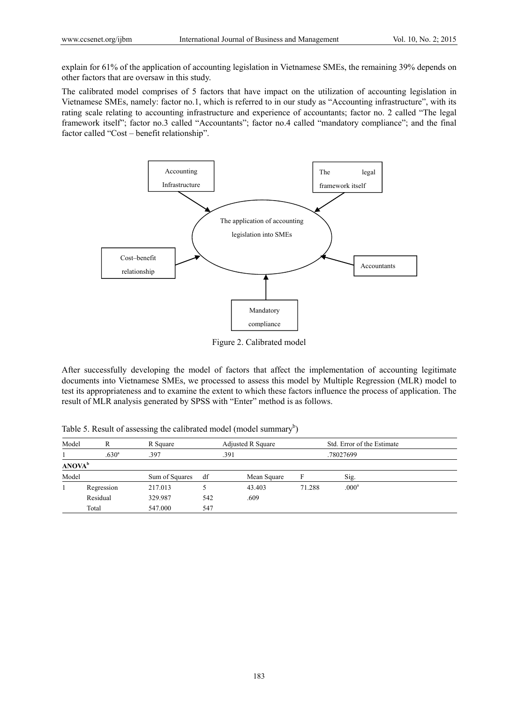explain for 61% of the application of accounting legislation in Vietnamese SMEs, the remaining 39% depends on other factors that are oversaw in this study.

The calibrated model comprises of 5 factors that have impact on the utilization of accounting legislation in Vietnamese SMEs, namely: factor no.1, which is referred to in our study as "Accounting infrastructure", with its rating scale relating to accounting infrastructure and experience of accountants; factor no. 2 called "The legal framework itself"; factor no.3 called "Accountants"; factor no.4 called "mandatory compliance"; and the final factor called "Cost – benefit relationship".



Figure 2. Calibrated model

After successfully developing the model of factors that affect the implementation of accounting legitimate documents into Vietnamese SMEs, we processed to assess this model by Multiple Regression (MLR) model to test its appropriateness and to examine the extent to which these factors influence the process of application. The result of MLR analysis generated by SPSS with "Enter" method is as follows.

| Model                     | R                 | R Square       |      | Adjusted R Square |        | Std. Error of the Estimate |  |
|---------------------------|-------------------|----------------|------|-------------------|--------|----------------------------|--|
|                           | .630 <sup>a</sup> | .397           | .391 |                   |        | .78027699                  |  |
| <b>ANOVA</b> <sup>b</sup> |                   |                |      |                   |        |                            |  |
| Model                     |                   | Sum of Squares | df   | Mean Square       |        | Sig.                       |  |
|                           | Regression        | 217.013        |      | 43.403            | 71.288 | .000 <sup>a</sup>          |  |
|                           | Residual          | 329.987        | 542  | .609              |        |                            |  |
|                           | Total             | 547.000        | 547  |                   |        |                            |  |

Table 5. Result of assessing the calibrated model (model summary<sup>b</sup>)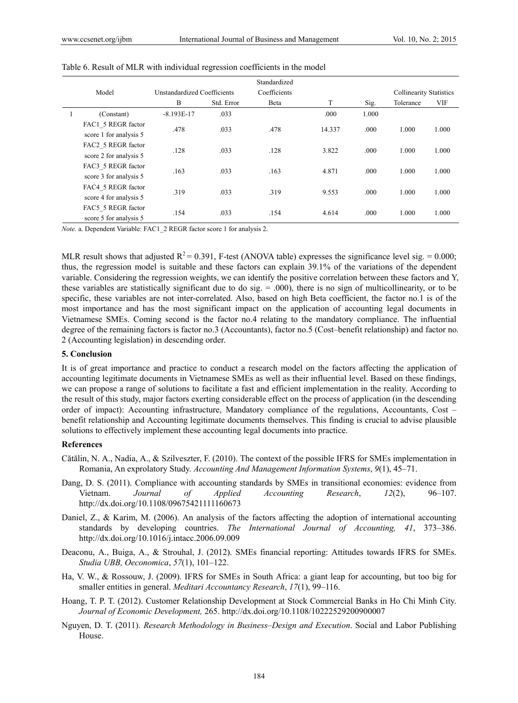|                        |                                    |            | Standardized |        |       |                                |       |
|------------------------|------------------------------------|------------|--------------|--------|-------|--------------------------------|-------|
| Model                  | <b>Unstandardized Coefficients</b> |            | Coefficients |        |       | <b>Collinearity Statistics</b> |       |
|                        | B                                  | Std. Error | Beta         | T      | Sig.  | Tolerance                      | VIF   |
| (Constant)             | $-8.193E-17$                       | .033       |              | .000   | 1.000 |                                |       |
| FAC1_5 REGR factor     | .478                               | .033       | .478         | 14.337 | .000  | 1.000                          | 1.000 |
| score 1 for analysis 5 |                                    |            |              |        |       |                                |       |
| FAC2 5 REGR factor     | .128                               | .033       | .128         | 3.822  | .000  | 1.000                          | 1.000 |
| score 2 for analysis 5 |                                    |            |              |        |       |                                |       |
| FAC3 5 REGR factor     | .163                               | .033       | .163         | 4.871  | .000  | 1.000                          | 1.000 |
| score 3 for analysis 5 |                                    |            |              |        |       |                                |       |
| FAC4 5 REGR factor     | .319                               | .033       | .319         | 9.553  | .000  | 1.000                          | 1.000 |
| score 4 for analysis 5 |                                    |            |              |        |       |                                |       |
| FAC5 5 REGR factor     | .154                               | .033       | .154         | 4.614  | .000  | 1.000                          | 1.000 |
| score 5 for analysis 5 |                                    |            |              |        |       |                                |       |

| Table 6. Result of MLR with individual regression coefficients in the model |
|-----------------------------------------------------------------------------|
|-----------------------------------------------------------------------------|

*Note.* a. Dependent Variable: FAC1\_2 REGR factor score 1 for analysis 2.

MLR result shows that adjusted  $R^2 = 0.391$ , F-test (ANOVA table) expresses the significance level sig. = 0.000; thus, the regression model is suitable and these factors can explain 39.1% of the variations of the dependent variable. Considering the regression weights, we can identify the positive correlation between these factors and Y, these variables are statistically significant due to do sig. = .000), there is no sign of multicollinearity, or to be specific, these variables are not inter-correlated. Also, based on high Beta coefficient, the factor no.1 is of the most importance and has the most significant impact on the application of accounting legal documents in Vietnamese SMEs. Coming second is the factor no.4 relating to the mandatory compliance. The influential degree of the remaining factors is factor no.3 (Accountants), factor no.5 (Cost–benefit relationship) and factor no. 2 (Accounting legislation) in descending order.

#### **5. Conclusion**

It is of great importance and practice to conduct a research model on the factors affecting the application of accounting legitimate documents in Vietnamese SMEs as well as their influential level. Based on these findings, we can propose a range of solutions to facilitate a fast and efficient implementation in the reality. According to the result of this study, major factors exerting considerable effect on the process of application (in the descending order of impact): Accounting infrastructure, Mandatory compliance of the regulations, Accountants, Cost – benefit relationship and Accounting legitimate documents themselves. This finding is crucial to advise plausible solutions to effectively implement these accounting legal documents into practice.

#### **References**

- Cătălin, N. A., Nadia, A., & Szilveszter, F. (2010). The context of the possible IFRS for SMEs implementation in Romania, An exprolatory Study. *Accounting And Management Information Systems*, *9*(1), 45–71.
- Dang, D. S. (2011). Compliance with accounting standards by SMEs in transitional economies: evidence from Vietnam. *Journal of Applied Accounting Research*, *12*(2), 96–107. http://dx.doi.org/10.1108/09675421111160673
- Daniel, Z., & Karim, M. (2006). An analysis of the factors affecting the adoption of international accounting standards by developing countries. *The International Journal of Accounting, 41*, 373–386. http://dx.doi.org/10.1016/j.intacc.2006.09.009
- Deaconu, A., Buiga, A., & Strouhal, J. (2012). SMEs financial reporting: Attitudes towards IFRS for SMEs. *Studia UBB, Oeconomica*, *57*(1), 101–122.
- Ha, V. W., & Rossouw, J. (2009). IFRS for SMEs in South Africa: a giant leap for accounting, but too big for smaller entities in general. *Meditari Accountancy Research*, *17*(1), 99–116.
- Hoang, T. P. T. (2012). Customer Relationship Development at Stock Commercial Banks in Ho Chi Minh City. *Journal of Economic Development,* 265. http://dx.doi.org/10.1108/10222529200900007
- Nguyen, D. T. (2011). *Research Methodology in Business–Design and Execution*. Social and Labor Publishing House.